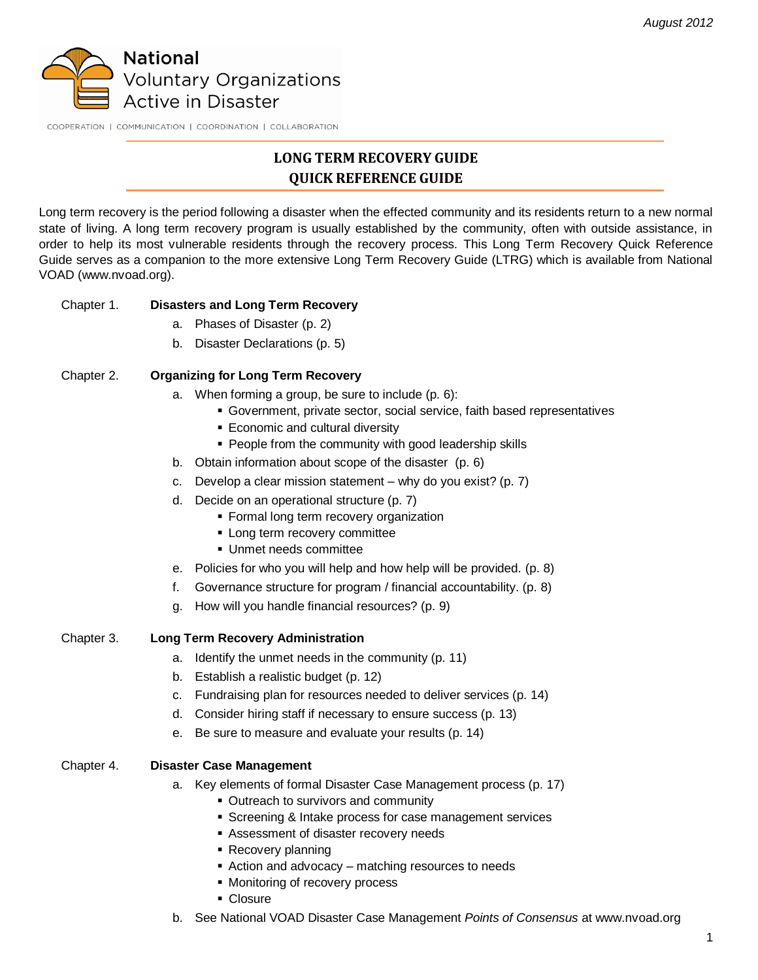

COOPERATION | COMMUNICATION | COORDINATION | COLLABORATION

# **LONG TERM RECOVERY GUIDE QUICK REFERENCE GUIDE**

Long term recovery is the period following a disaster when the effected community and its residents return to a new normal state of living. A long term recovery program is usually established by the community, often with outside assistance, in order to help its most vulnerable residents through the recovery process. This Long Term Recovery Quick Reference Guide serves as a companion to the more extensive Long Term Recovery Guide (LTRG) which is available from National VOAD (www.nvoad.org).

# Chapter 1. **Disasters and Long Term Recovery**

- a. Phases of Disaster (p. 2)
- b. Disaster Declarations (p. 5)

# Chapter 2. **Organizing for Long Term Recovery**

- a. When forming a group, be sure to include (p. 6):
	- Government, private sector, social service, faith based representatives
	- **Economic and cultural diversity**
	- People from the community with good leadership skills
- b. Obtain information about scope of the disaster (p. 6)
- c. Develop a clear mission statement why do you exist? (p. 7)
- d. Decide on an operational structure (p. 7)
	- **Formal long term recovery organization**
	- **-** Long term recovery committee
	- Unmet needs committee
- e. Policies for who you will help and how help will be provided. (p. 8)
- f. Governance structure for program / financial accountability. (p. 8)
- g. How will you handle financial resources? (p. 9)

#### Chapter 3. **Long Term Recovery Administration**

- a. Identify the unmet needs in the community (p. 11)
- b. Establish a realistic budget (p. 12)
- c. Fundraising plan for resources needed to deliver services (p. 14)
- d. Consider hiring staff if necessary to ensure success (p. 13)
- e. Be sure to measure and evaluate your results (p. 14)

#### Chapter 4. **Disaster Case Management**

- a. Key elements of formal Disaster Case Management process (p. 17)
	- Outreach to survivors and community
	- **Screening & Intake process for case management services**
	- Assessment of disaster recovery needs
	- **Recovery planning**
	- Action and advocacy matching resources to needs
	- **Monitoring of recovery process**
	- Closure
- b. See National VOAD Disaster Case Management *Points of Consensus* at www.nvoad.org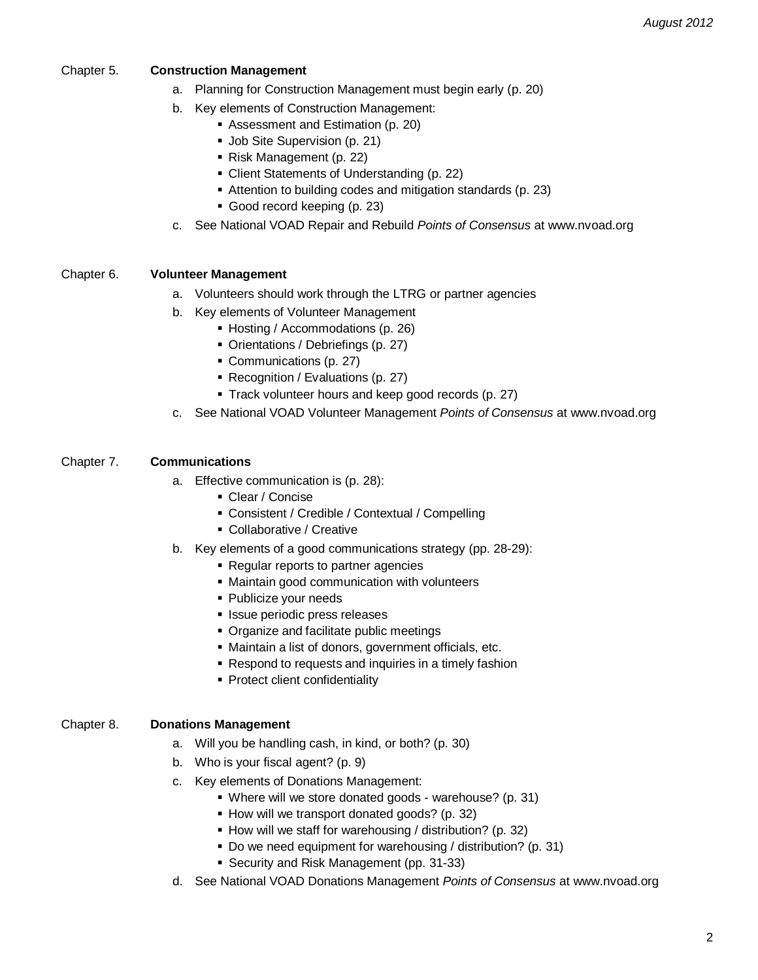### Chapter 5. **Construction Management**

- a. Planning for Construction Management must begin early (p. 20)
- b. Key elements of Construction Management:
	- Assessment and Estimation (p. 20)
	- **Job Site Supervision (p. 21)**
	- Risk Management (p. 22)
	- Client Statements of Understanding (p. 22)
	- Attention to building codes and mitigation standards (p. 23)
	- Good record keeping (p. 23)
- c. See National VOAD Repair and Rebuild *Points of Consensus* at www.nvoad.org

#### Chapter 6. **Volunteer Management**

- a. Volunteers should work through the LTRG or partner agencies
- b. Key elements of Volunteer Management
	- Hosting / Accommodations (p. 26)
	- Orientations / Debriefings (p. 27)
	- Communications (p. 27)
	- Recognition / Evaluations (p. 27)
	- Track volunteer hours and keep good records (p. 27)
- c. See National VOAD Volunteer Management *Points of Consensus* at www.nvoad.org

#### Chapter 7. **Communications**

- a. Effective communication is (p. 28):
	- Clear / Concise
	- Consistent / Credible / Contextual / Compelling
	- **Collaborative / Creative**
- b. Key elements of a good communications strategy (pp. 28-29):
	- **Regular reports to partner agencies**
	- Maintain good communication with volunteers
	- **Publicize your needs**
	- **Issue periodic press releases**
	- Organize and facilitate public meetings
	- Maintain a list of donors, government officials, etc.
	- Respond to requests and inquiries in a timely fashion
	- **Protect client confidentiality**

# Chapter 8. **Donations Management**

- a. Will you be handling cash, in kind, or both? (p. 30)
- b. Who is your fiscal agent? (p. 9)
- c. Key elements of Donations Management:
	- Where will we store donated goods warehouse? (p. 31)
	- How will we transport donated goods? (p. 32)
	- How will we staff for warehousing / distribution? (p. 32)
	- Do we need equipment for warehousing / distribution? (p. 31)
	- Security and Risk Management (pp. 31-33)
- d. See National VOAD Donations Management *Points of Consensus* at www.nvoad.org